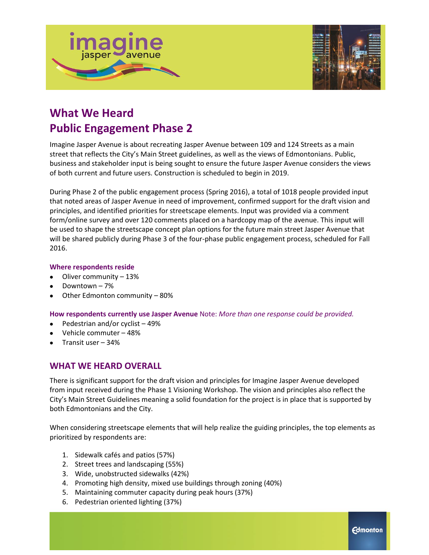



# **What We Heard Public Engagement Phase 2**

Imagine Jasper Avenue is about recreating Jasper Avenue between 109 and 124 Streets as a main street that reflects the City's Main Street guidelines, as well as the views of Edmontonians. Public, business and stakeholder input is being sought to ensure the future Jasper Avenue considers the views of both current and future users. Construction is scheduled to begin in 2019.

During Phase 2 of the public engagement process (Spring 2016), a total of 1018 people provided input that noted areas of Jasper Avenue in need of improvement, confirmed support for the draft vision and principles, and identified priorities for streetscape elements. Input was provided via a comment form/online survey and over 120 comments placed on a hardcopy map of the avenue. This input will be used to shape the streetscape concept plan options for the future main street Jasper Avenue that will be shared publicly during Phase 3 of the four-phase public engagement process, scheduled for Fall 2016.

#### **Where respondents reside**

- Oliver community 13%
- Downtown 7%
- Other Edmonton community 80%

**How respondents currently use Jasper Avenue** Note: *More than one response could be provided.*

- Pedestrian and/or cyclist 49%
- Vehicle commuter 48%
- Transit user 34%

# **WHAT WE HEARD OVERALL**

There is significant support for the draft vision and principles for Imagine Jasper Avenue developed from input received during the Phase 1 Visioning Workshop. The vision and principles also reflect the City's Main Street Guidelines meaning a solid foundation for the project is in place that is supported by both Edmontonians and the City.

When considering streetscape elements that will help realize the guiding principles, the top elements as prioritized by respondents are:

- 1. Sidewalk cafés and patios (57%)
- 2. Street trees and landscaping (55%)
- 3. Wide, unobstructed sidewalks (42%)
- 4. Promoting high density, mixed use buildings through zoning (40%)
- 5. Maintaining commuter capacity during peak hours (37%)
- 6. Pedestrian oriented lighting (37%)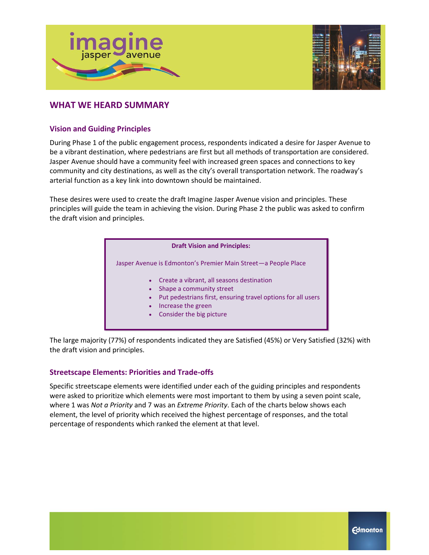



# **WHAT WE HEARD SUMMARY**

## **Vision and Guiding Principles**

During Phase 1 of the public engagement process, respondents indicated a desire for Jasper Avenue to be a vibrant destination, where pedestrians are first but all methods of transportation are considered. Jasper Avenue should have a community feel with increased green spaces and connections to key community and city destinations, as well as the city's overall transportation network. The roadway's arterial function as a key link into downtown should be maintained.

These desires were used to create the draft Imagine Jasper Avenue vision and principles. These principles will guide the team in achieving the vision. During Phase 2 the public was asked to confirm the draft vision and principles.

| <b>Draft Vision and Principles:</b> |  |  |
|-------------------------------------|--|--|
|-------------------------------------|--|--|

Jasper Avenue is Edmonton's Premier Main Street—a People Place

- Create a vibrant, all seasons destination
- Shape a community street
- Put pedestrians first, ensuring travel options for all users
- Increase the green
- Consider the big picture

The large majority (77%) of respondents indicated they are Satisfied (45%) or Very Satisfied (32%) with the draft vision and principles.

# **Streetscape Elements: Priorities and Trade-offs**

Specific streetscape elements were identified under each of the guiding principles and respondents were asked to prioritize which elements were most important to them by using a seven point scale, where 1 was *Not a Priority* and 7 was an *Extreme Priority*. Each of the charts below shows each element, the level of priority which received the highest percentage of responses, and the total percentage of respondents which ranked the element at that level.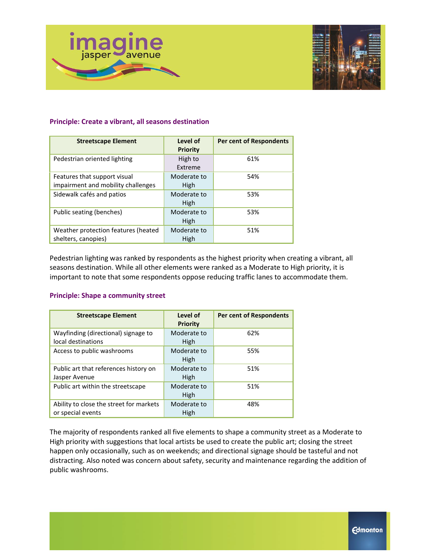

#### **Principle: Create a vibrant, all seasons destination**

| <b>Streetscape Element</b>                                         | Level of<br><b>Priority</b> | <b>Per cent of Respondents</b> |
|--------------------------------------------------------------------|-----------------------------|--------------------------------|
| Pedestrian oriented lighting                                       | High to<br>Extreme          | 61%                            |
| Features that support visual<br>impairment and mobility challenges | Moderate to<br>High         | 54%                            |
| Sidewalk cafés and patios                                          | Moderate to<br>High         | 53%                            |
| Public seating (benches)                                           | Moderate to<br>High         | 53%                            |
| Weather protection features (heated<br>shelters, canopies)         | Moderate to<br>High         | 51%                            |

Pedestrian lighting was ranked by respondents as the highest priority when creating a vibrant, all seasons destination. While all other elements were ranked as a Moderate to High priority, it is important to note that some respondents oppose reducing traffic lanes to accommodate them.

#### **Principle: Shape a community street**

| <b>Streetscape Element</b>                                   | Level of<br><b>Priority</b> | <b>Per cent of Respondents</b> |
|--------------------------------------------------------------|-----------------------------|--------------------------------|
| Wayfinding (directional) signage to<br>local destinations    | Moderate to<br>High         | 62%                            |
| Access to public washrooms                                   | Moderate to<br>High         | 55%                            |
| Public art that references history on<br>Jasper Avenue       | Moderate to<br>High         | 51%                            |
| Public art within the streetscape                            | Moderate to<br>High         | 51%                            |
| Ability to close the street for markets<br>or special events | Moderate to<br>High         | 48%                            |

The majority of respondents ranked all five elements to shape a community street as a Moderate to High priority with suggestions that local artists be used to create the public art; closing the street happen only occasionally, such as on weekends; and directional signage should be tasteful and not distracting. Also noted was concern about safety, security and maintenance regarding the addition of public washrooms.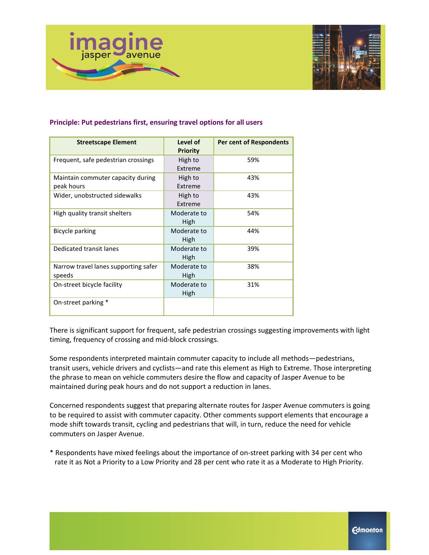

| Principle: Put pedestrians first, ensuring travel options for all users |  |  |
|-------------------------------------------------------------------------|--|--|
|-------------------------------------------------------------------------|--|--|

| <b>Streetscape Element</b>                      | Level of<br><b>Priority</b> | <b>Per cent of Respondents</b> |
|-------------------------------------------------|-----------------------------|--------------------------------|
| Frequent, safe pedestrian crossings             | High to<br>Extreme          | 59%                            |
| Maintain commuter capacity during<br>peak hours | High to<br>Extreme          | 43%                            |
| Wider, unobstructed sidewalks                   | High to<br>Extreme          | 43%                            |
| High quality transit shelters                   | Moderate to<br>High         | 54%                            |
| Bicycle parking                                 | Moderate to<br>High         | 44%                            |
| Dedicated transit lanes                         | Moderate to<br>High         | 39%                            |
| Narrow travel lanes supporting safer<br>speeds  | Moderate to<br>High         | 38%                            |
| On-street bicycle facility                      | Moderate to<br>High         | 31%                            |
| On-street parking *                             |                             |                                |

There is significant support for frequent, safe pedestrian crossings suggesting improvements with light timing, frequency of crossing and mid-block crossings.

Some respondents interpreted maintain commuter capacity to include all methods—pedestrians, transit users, vehicle drivers and cyclists—and rate this element as High to Extreme. Those interpreting the phrase to mean on vehicle commuters desire the flow and capacity of Jasper Avenue to be maintained during peak hours and do not support a reduction in lanes.

Concerned respondents suggest that preparing alternate routes for Jasper Avenue commuters is going to be required to assist with commuter capacity. Other comments support elements that encourage a mode shift towards transit, cycling and pedestrians that will, in turn, reduce the need for vehicle commuters on Jasper Avenue.

\* Respondents have mixed feelings about the importance of on-street parking with 34 per cent who rate it as Not a Priority to a Low Priority and 28 per cent who rate it as a Moderate to High Priority.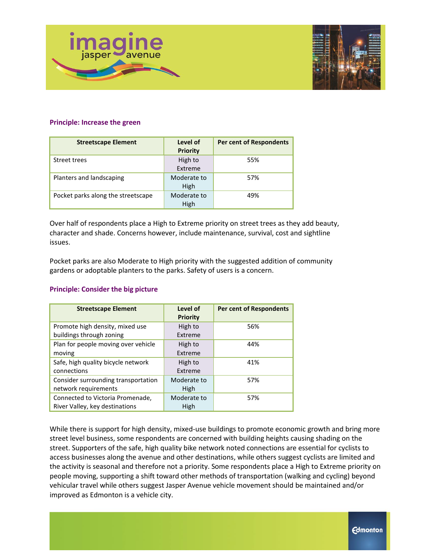

#### **Principle: Increase the green**

| <b>Streetscape Element</b>         | Level of<br><b>Priority</b> | <b>Per cent of Respondents</b> |
|------------------------------------|-----------------------------|--------------------------------|
| Street trees                       | High to<br>Extreme          | 55%                            |
| Planters and landscaping           | Moderate to<br>High         | 57%                            |
| Pocket parks along the streetscape | Moderate to<br>High         | 49%                            |

Over half of respondents place a High to Extreme priority on street trees as they add beauty, character and shade. Concerns however, include maintenance, survival, cost and sightline issues.

Pocket parks are also Moderate to High priority with the suggested addition of community gardens or adoptable planters to the parks. Safety of users is a concern.

#### **Principle: Consider the big picture**

| <b>Streetscape Element</b>                                         | Level of<br>Priority | <b>Per cent of Respondents</b> |
|--------------------------------------------------------------------|----------------------|--------------------------------|
| Promote high density, mixed use<br>buildings through zoning        | High to<br>Extreme   | 56%                            |
| Plan for people moving over vehicle<br>moving                      | High to<br>Extreme   | 44%                            |
| Safe, high quality bicycle network<br>connections                  | High to<br>Extreme   | 41%                            |
| Consider surrounding transportation<br>network requirements        | Moderate to<br>High  | 57%                            |
| Connected to Victoria Promenade,<br>River Valley, key destinations | Moderate to<br>High  | 57%                            |

While there is support for high density, mixed-use buildings to promote economic growth and bring more street level business, some respondents are concerned with building heights causing shading on the street. Supporters of the safe, high quality bike network noted connections are essential for cyclists to access businesses along the avenue and other destinations, while others suggest cyclists are limited and the activity is seasonal and therefore not a priority. Some respondents place a High to Extreme priority on people moving, supporting a shift toward other methods of transportation (walking and cycling) beyond vehicular travel while others suggest Jasper Avenue vehicle movement should be maintained and/or improved as Edmonton is a vehicle city.